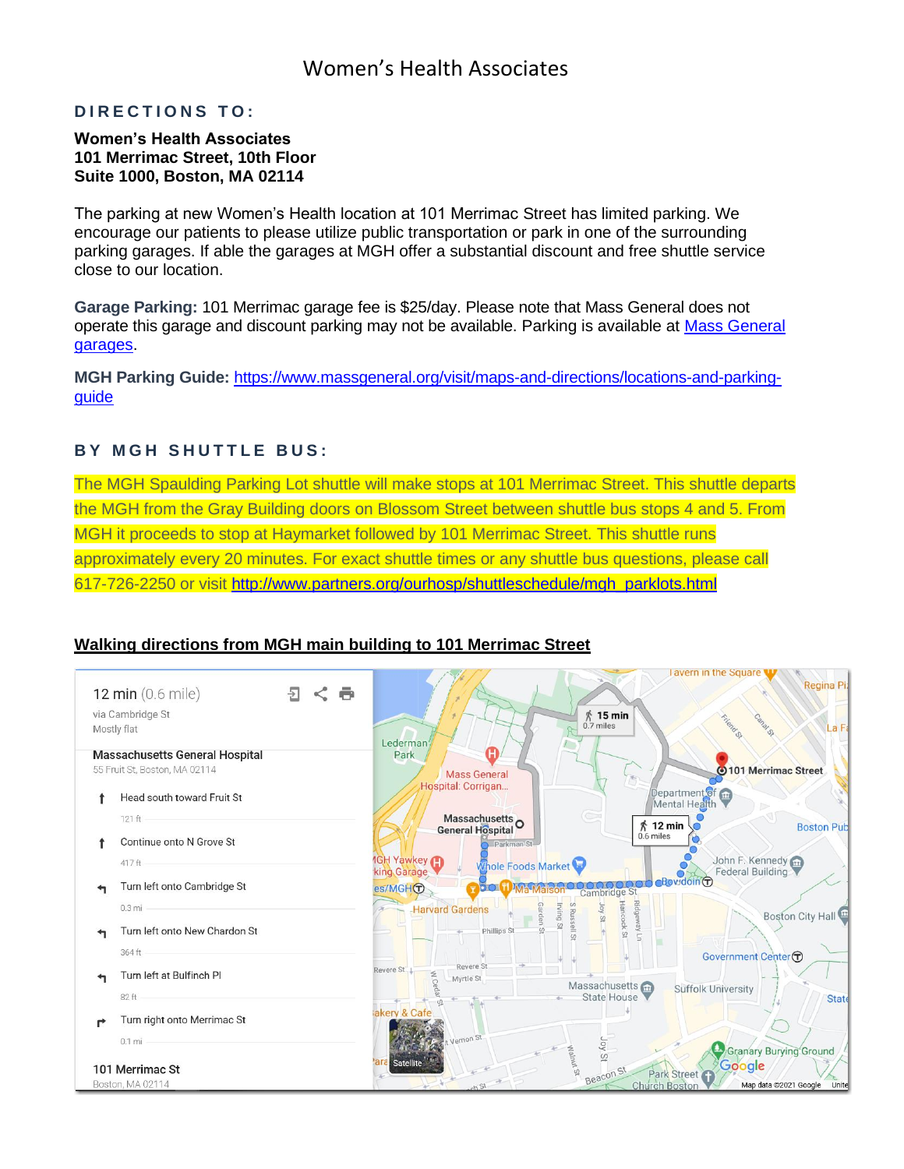## Women's Health Associates

### **DIRECTIONS TO:**

#### **Women's Health Associates 101 Merrimac Street, 10th Floor Suite 1000, Boston, MA 02114**

The parking at new Women's Health location at 101 Merrimac Street has limited parking. We encourage our patients to please utilize public transportation or park in one of the surrounding parking garages. If able the garages at MGH offer a substantial discount and free shuttle service close to our location.

**Garage Parking:** 101 Merrimac garage fee is \$25/day. Please note that Mass General does not operate this garage and discount parking may not be available. Parking is available at [Mass General](https://www.massgeneral.org/visit/parking-and-shuttles/parking)  [garages.](https://www.massgeneral.org/visit/parking-and-shuttles/parking)

**MGH Parking Guide:** [https://www.massgeneral.org/visit/maps-and-directions/locations-and-parking](https://www.massgeneral.org/visit/maps-and-directions/locations-and-parking-guide)[guide](https://www.massgeneral.org/visit/maps-and-directions/locations-and-parking-guide)

#### **BY MGH SHUTTLE BUS:**

The MGH Spaulding Parking Lot shuttle will make stops at 101 Merrimac Street. This shuttle departs the MGH from the Gray Building doors on Blossom Street between shuttle bus stops 4 and 5. From MGH it proceeds to stop at Haymarket followed by 101 Merrimac Street. This shuttle runs approximately every 20 minutes. For exact shuttle times or any shuttle bus questions, please call 617-726-2250 or visit [http://www.partners.org/ourhosp/shuttleschedule/mgh\\_parklots.html](http://www.partners.org/ourhosp/shuttleschedule/mgh_parklots.html)

#### **Walking directions from MGH main building to 101 Merrimac Street**

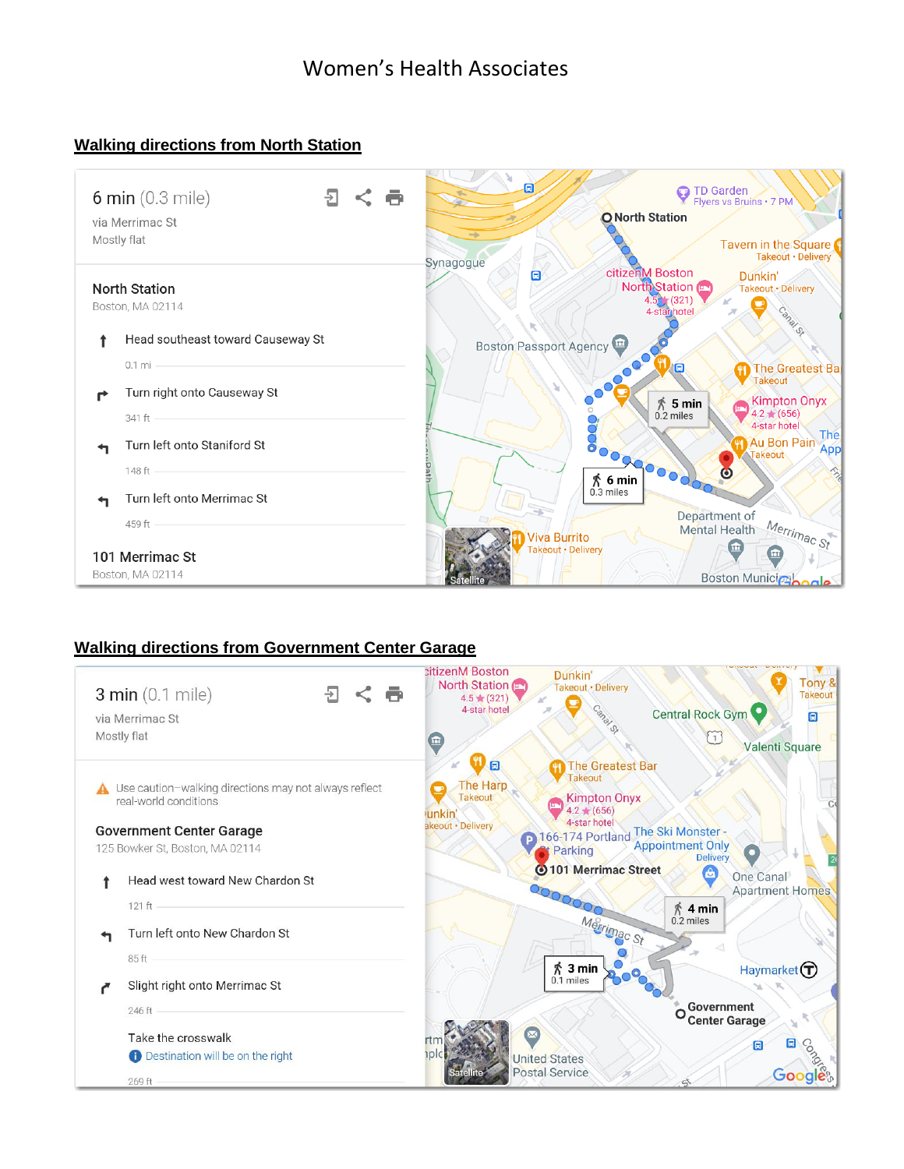## **Walking directions from North Station**



#### **Walking directions from Government Center Garage**

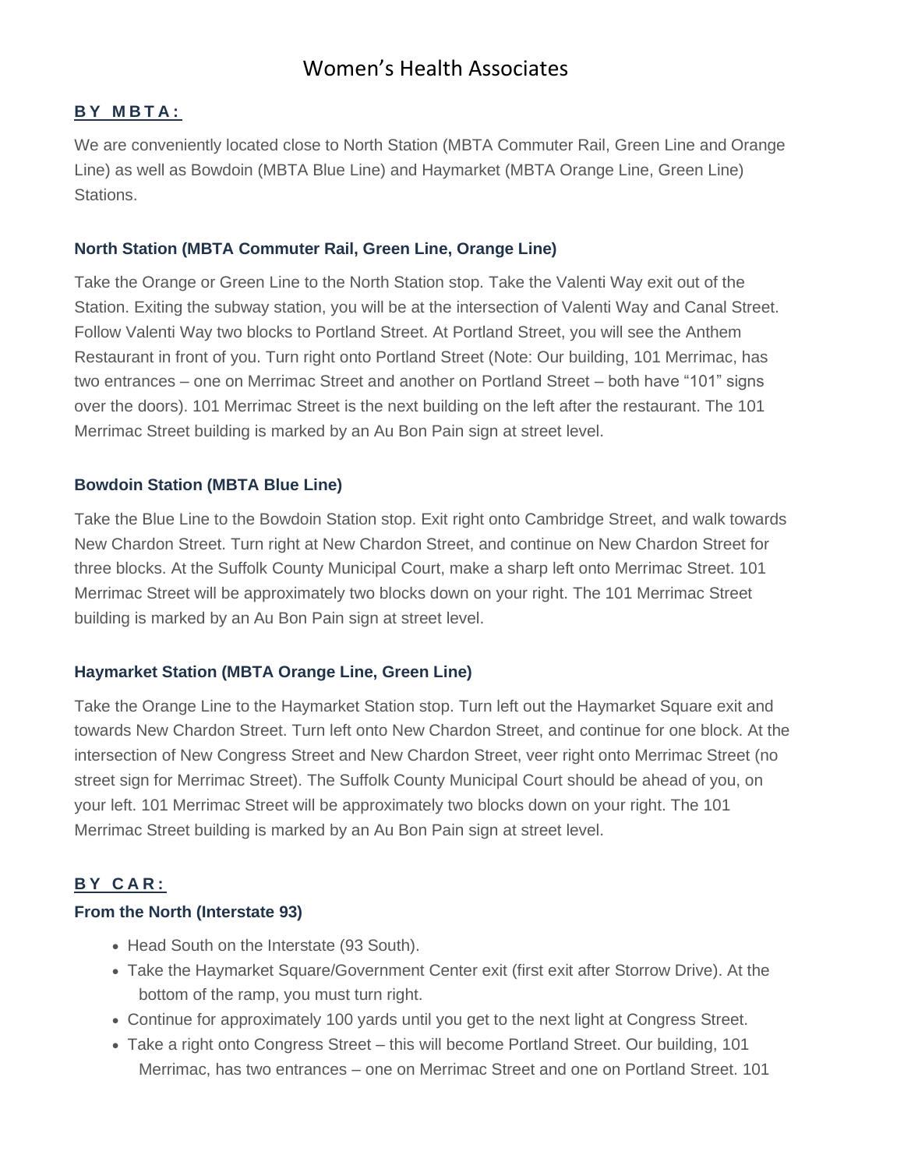# Women's Health Associates

#### **B Y M B T A :**

We are conveniently located close to North Station (MBTA Commuter Rail, Green Line and Orange Line) as well as Bowdoin (MBTA Blue Line) and Haymarket (MBTA Orange Line, Green Line) Stations.

### **North Station (MBTA Commuter Rail, Green Line, Orange Line)**

Take the Orange or Green Line to the North Station stop. Take the Valenti Way exit out of the Station. Exiting the subway station, you will be at the intersection of Valenti Way and Canal Street. Follow Valenti Way two blocks to Portland Street. At Portland Street, you will see the Anthem Restaurant in front of you. Turn right onto Portland Street (Note: Our building, 101 Merrimac, has two entrances – one on Merrimac Street and another on Portland Street – both have "101" signs over the doors). 101 Merrimac Street is the next building on the left after the restaurant. The 101 Merrimac Street building is marked by an Au Bon Pain sign at street level.

### **Bowdoin Station (MBTA Blue Line)**

Take the Blue Line to the Bowdoin Station stop. Exit right onto Cambridge Street, and walk towards New Chardon Street. Turn right at New Chardon Street, and continue on New Chardon Street for three blocks. At the Suffolk County Municipal Court, make a sharp left onto Merrimac Street. 101 Merrimac Street will be approximately two blocks down on your right. The 101 Merrimac Street building is marked by an Au Bon Pain sign at street level.

## **Haymarket Station (MBTA Orange Line, Green Line)**

Take the Orange Line to the Haymarket Station stop. Turn left out the Haymarket Square exit and towards New Chardon Street. Turn left onto New Chardon Street, and continue for one block. At the intersection of New Congress Street and New Chardon Street, veer right onto Merrimac Street (no street sign for Merrimac Street). The Suffolk County Municipal Court should be ahead of you, on your left. 101 Merrimac Street will be approximately two blocks down on your right. The 101 Merrimac Street building is marked by an Au Bon Pain sign at street level.

## **B Y C A R :**

#### **From the North (Interstate 93)**

- Head South on the Interstate (93 South).
- Take the Haymarket Square/Government Center exit (first exit after Storrow Drive). At the bottom of the ramp, you must turn right.
- Continue for approximately 100 yards until you get to the next light at Congress Street.
- Take a right onto Congress Street this will become Portland Street. Our building, 101 Merrimac, has two entrances – one on Merrimac Street and one on Portland Street. 101